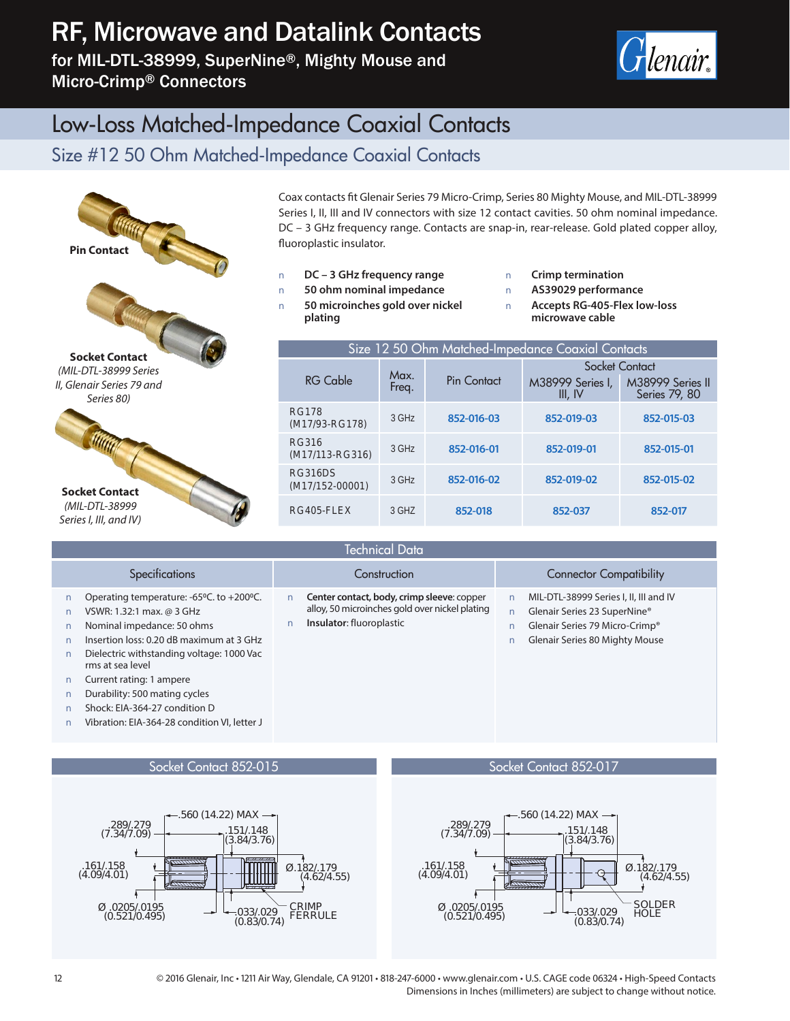## RF, Microwave and Datalink Contacts

for MIL-DTL-38999, SuperNine®, Mighty Mouse and Micro-Crimp® Connectors



### Low-Loss Matched-Impedance Coaxial Contacts

#### Size #12 50 Ohm Matched-Impedance Coaxial Contacts



Coax contacts fit Glenair Series 79 Micro-Crimp, Series 80 Mighty Mouse, and MIL-DTL-38999 Series I, II, III and IV connectors with size 12 contact cavities. 50 ohm nominal impedance. DC – 3 GHz frequency range. Contacts are snap-in, rear-release. Gold plated copper alloy, fluoroplastic insulator.

**Q DC – 3 GHz frequency range Q 50 ohm nominal impedance Q 50 microinches gold over nickel plating**

**Q Crimp termination Q AS39029 performance Q Accepts RG-405-Flex low-loss microwave cable**

| Size 12 50 Ohm Matched-Impedance Coaxial Contacts |         |             |                             |                                   |  |
|---------------------------------------------------|---------|-------------|-----------------------------|-----------------------------------|--|
|                                                   | Max.    |             | Socket Contact              |                                   |  |
| RG Cable                                          | Freq.   | Pin Contact | M38999 Series I,<br>III, IV | M38999 Series II<br>Series 79, 80 |  |
| <b>RG178</b><br>(M17/93-RG178)                    | $3$ GHz | 852-016-03  | 852-019-03                  | 852-015-03                        |  |
| <b>RG316</b><br>(M17/113-RG316)                   | $3$ GHz | 852-016-01  | 852-019-01                  | 852-015-01                        |  |
| <b>RG316DS</b><br>$(M17/152-00001)$               | $3$ GHz | 852-016-02  | 852-019-02                  | 852-015-02                        |  |
| RG405-FLEX                                        | $3$ GHZ | 852-018     | 852-037                     | 852-017                           |  |

| <b>Technical Data</b>                                                                                                                                                                                                                                                                                                                                          |                                                                                                                          |                                                                                                                                                   |  |  |  |
|----------------------------------------------------------------------------------------------------------------------------------------------------------------------------------------------------------------------------------------------------------------------------------------------------------------------------------------------------------------|--------------------------------------------------------------------------------------------------------------------------|---------------------------------------------------------------------------------------------------------------------------------------------------|--|--|--|
| <b>Specifications</b>                                                                                                                                                                                                                                                                                                                                          | Construction                                                                                                             | <b>Connector Compatibility</b>                                                                                                                    |  |  |  |
| Operating temperature: -65°C. to +200°C.<br>VSWR: 1.32:1 max. @ 3 GHz<br>Nominal impedance: 50 ohms<br>Insertion loss: 0.20 dB maximum at 3 GHz<br>Dielectric withstanding voltage: 1000 Vac<br>rms at sea level<br>Current rating: 1 ampere<br>Durability: 500 mating cycles<br>Shock: EIA-364-27 condition D<br>Vibration: EIA-364-28 condition VI, letter J | Center contact, body, crimp sleeve: copper<br>alloy, 50 microinches gold over nickel plating<br>Insulator: fluoroplastic | MIL-DTL-38999 Series I, II, III and IV<br>Glenair Series 23 SuperNine®<br>Glenair Series 79 Micro-Crimp®<br><b>Glenair Series 80 Mighty Mouse</b> |  |  |  |

Socket Contact 852-015



Socket Contact 852-017